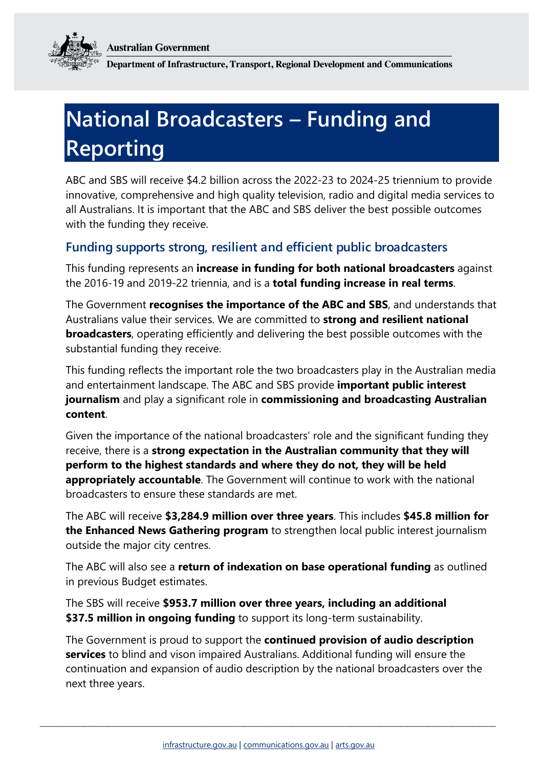**Australian Government** 



Department of Infrastructure, Transport, Regional Development and Communications

## **National Broadcasters – Funding and Reporting**

ABC and SBS will receive \$4.2 billion across the 2022-23 to 2024-25 triennium to provide innovative, comprehensive and high quality television, radio and digital media services to all Australians. It is important that the ABC and SBS deliver the best possible outcomes with the funding they receive.

## **Funding supports strong, resilient and efficient public broadcasters**

This funding represents an **increase in funding for both national broadcasters** against the 2016-19 and 2019-22 triennia, and is a **total funding increase in real terms**.

The Government **recognises the importance of the ABC and SBS**, and understands that Australians value their services. We are committed to **strong and resilient national broadcasters**, operating efficiently and delivering the best possible outcomes with the substantial funding they receive.

This funding reflects the important role the two broadcasters play in the Australian media and entertainment landscape. The ABC and SBS provide **important public interest journalism** and play a significant role in **commissioning and broadcasting Australian content**.

Given the importance of the national broadcasters' role and the significant funding they receive, there is a **strong expectation in the Australian community that they will perform to the highest standards and where they do not, they will be held appropriately accountable**. The Government will continue to work with the national broadcasters to ensure these standards are met.

The ABC will receive **\$3,284.9 million over three years**. This includes **\$45.8 million for the Enhanced News Gathering program** to strengthen local public interest journalism outside the major city centres.

The ABC will also see a **return of indexation on base operational funding** as outlined in previous Budget estimates.

The SBS will receive **\$953.7 million over three years, including an additional \$37.5 million in ongoing funding** to support its long-term sustainability.

The Government is proud to support the **continued provision of audio description services** to blind and vison impaired Australians. Additional funding will ensure the continuation and expansion of audio description by the national broadcasters over the next three years.

\_\_\_\_\_\_\_\_\_\_\_\_\_\_\_\_\_\_\_\_\_\_\_\_\_\_\_\_\_\_\_\_\_\_\_\_\_\_\_\_\_\_\_\_\_\_\_\_\_\_\_\_\_\_\_\_\_\_\_\_\_\_\_\_\_\_\_\_\_\_\_\_\_\_\_\_\_\_\_\_\_\_\_\_\_\_\_\_\_\_\_\_\_\_\_\_\_\_\_\_\_\_\_\_\_\_\_\_\_\_\_\_\_\_\_\_\_\_\_\_\_\_\_\_\_\_\_\_\_\_\_\_\_\_